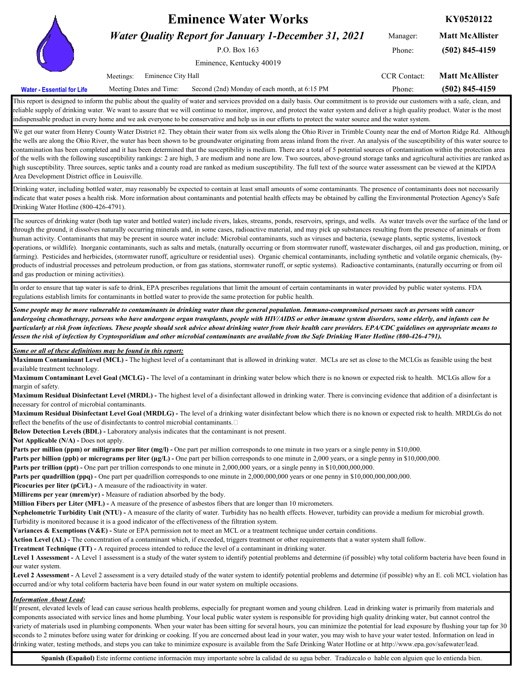|                          | <b>Eminence Water Works</b>                                 | KY0520122                                     |                                            |                  |
|--------------------------|-------------------------------------------------------------|-----------------------------------------------|--------------------------------------------|------------------|
|                          | <b>Water Quality Report for January 1-December 31, 2021</b> | Manager:                                      | <b>Matt McAllister</b><br>$(502)$ 845-4159 |                  |
|                          |                                                             | Phone:                                        |                                            |                  |
|                          |                                                             |                                               |                                            |                  |
|                          | Eminence City Hall<br>Meetings:                             | <b>CCR</b> Contact:                           | <b>Matt McAllister</b>                     |                  |
| ter - Essential for Life | Meeting Dates and Time:                                     | Second (2nd) Monday of each month, at 6:15 PM | Phone:                                     | $(502)$ 845-4159 |

This report is designed to inform the public about the quality of water and services provided on a daily basis. Our commitment is to provide our customers with a safe, clean, and reliable supply of drinking water. We want to assure that we will continue to monitor, improve, and protect the water system and deliver a high quality product. Water is the most indispensable product in every home and we ask everyone to be conservative and help us in our efforts to protect the water source and the water system.

We get our water from Henry County Water District #2. They obtain their water from six wells along the Ohio River in Trimble County near the end of Morton Ridge Rd. Although the wells are along the Ohio River, the water has been shown to be groundwater originating from areas inland from the river. An analysis of the susceptibility of this water source to contamination has been completed and it has been determined that the susceptibility is medium. There are a total of 5 potential sources of contamination within the protection area of the wells with the following susceptibility rankings: 2 are high, 3 are medium and none are low. Two sources, above-ground storage tanks and agricultural activities are ranked as high susceptibility. Three sources, septic tanks and a county road are ranked as medium susceptibility. The full text of the source water assessment can be viewed at the KIPDA Area Development District office in Louisville.

Drinking water, including bottled water, may reasonably be expected to contain at least small amounts of some contaminants. The presence of contaminants does not necessarily indicate that water poses a health risk. More information about contaminants and potential health effects may be obtained by calling the Environmental Protection Agency's Safe Drinking Water Hotline (800-426-4791).

The sources of drinking water (both tap water and bottled water) include rivers, lakes, streams, ponds, reservoirs, springs, and wells. As water travels over the surface of the land or through the ground, it dissolves naturally occurring minerals and, in some cases, radioactive material, and may pick up substances resulting from the presence of animals or from human activity. Contaminants that may be present in source water include: Microbial contaminants, such as viruses and bacteria, (sewage plants, septic systems, livestock operations, or wildlife). Inorganic contaminants, such as salts and metals, (naturally occurring or from stormwater runoff, wastewater discharges, oil and gas production, mining, or farming). Pesticides and herbicides, (stormwater runoff, agriculture or residential uses). Organic chemical contaminants, including synthetic and volatile organic chemicals, (byproducts of industrial processes and petroleum production, or from gas stations, stormwater runoff, or septic systems). Radioactive contaminants, (naturally occurring or from oil and gas production or mining activities).

In order to ensure that tap water is safe to drink, EPA prescribes regulations that limit the amount of certain contaminants in water provided by public water systems. FDA regulations establish limits for contaminants in bottled water to provide the same protection for public health.

*Some people may be more vulnerable to contaminants in drinking water than the general population. Immuno-compromised persons such as persons with cancer undergoing chemotherapy, persons who have undergone organ transplants, people with HIV/AIDS or other immune system disorders, some elderly, and infants can be particularly at risk from infections. These people should seek advice about drinking water from their health care providers. EPA/CDC guidelines on appropriate means to lessen the risk of infection by Cryptosporidium and other microbial contaminants are available from the Safe Drinking Water Hotline (800-426-4791).*

*Some or all of these definitions may be found in this report:*

**Maximum Contaminant Level (MCL) -** The highest level of a contaminant that is allowed in drinking water. MCLs are set as close to the MCLGs as feasible using the best available treatment technology.

**Maximum Contaminant Level Goal (MCLG) -** The level of a contaminant in drinking water below which there is no known or expected risk to health. MCLGs allow for a margin of safety.

**Maximum Residual Disinfectant Level (MRDL) -** The highest level of a disinfectant allowed in drinking water. There is convincing evidence that addition of a disinfectant is necessary for control of microbial contaminants.

**Maximum Residual Disinfectant Level Goal (MRDLG) -** The level of a drinking water disinfectant below which there is no known or expected risk to health. MRDLGs do not reflect the benefits of the use of disinfectants to control microbial contaminants. 

**Below Detection Levels (BDL) -** Laboratory analysis indicates that the contaminant is not present.

**Not Applicable (N/A) -** Does not apply.

**Wa** 

**Parts per million (ppm) or milligrams per liter (mg/l) -** One part per million corresponds to one minute in two years or a single penny in \$10,000.

Parts per billion (ppb) or micrograms per liter (µg/L) - One part per billion corresponds to one minute in 2,000 years, or a single penny in \$10,000,000.

**Parts per trillion (ppt) -** One part per trillion corresponds to one minute in 2,000,000 years, or a single penny in \$10,000,000,000.

**Parts per quadrillion (ppq) -** One part per quadrillion corresponds to one minute in 2,000,000,000 years or one penny in \$10,000,000,000,000.

**Picocuries per liter (pCi/L) -** A measure of the radioactivity in water.

**Millirems per year (mrem/yr) -** Measure of radiation absorbed by the body.

**Million Fibers per Liter (MFL) -** A measure of the presence of asbestos fibers that are longer than 10 micrometers.

**Nephelometric Turbidity Unit (NTU) -** A measure of the clarity of water. Turbidity has no health effects. However, turbidity can provide a medium for microbial growth. Turbidity is monitored because it is a good indicator of the effectiveness of the filtration system.

**Variances & Exemptions (V&E) -** State or EPA permission not to meet an MCL or a treatment technique under certain conditions.

**Action Level (AL) -** The concentration of a contaminant which, if exceeded, triggers treatment or other requirements that a water system shall follow.

**Treatment Technique (TT) -** A required process intended to reduce the level of a contaminant in drinking water.

Level 1 Assessment - A Level 1 assessment is a study of the water system to identify potential problems and determine (if possible) why total coliform bacteria have been found in our water system.

Level 2 Assessment - A Level 2 assessment is a very detailed study of the water system to identify potential problems and determine (if possible) why an E. coli MCL violation has occurred and/or why total coliform bacteria have been found in our water system on multiple occasions.

## *Information About Lead:*

If present, elevated levels of lead can cause serious health problems, especially for pregnant women and young children. Lead in drinking water is primarily from materials and components associated with service lines and home plumbing. Your local public water system is responsible for providing high quality drinking water, but cannot control the variety of materials used in plumbing components. When your water has been sitting for several hours, you can minimize the potential for lead exposure by flushing your tap for 30 seconds to 2 minutes before using water for drinking or cooking. If you are concerned about lead in your water, you may wish to have your water tested. Information on lead in drinking water, testing methods, and steps you can take to minimize exposure is available from the Safe Drinking Water Hotline or at http://www.epa.gov/safewater/lead.